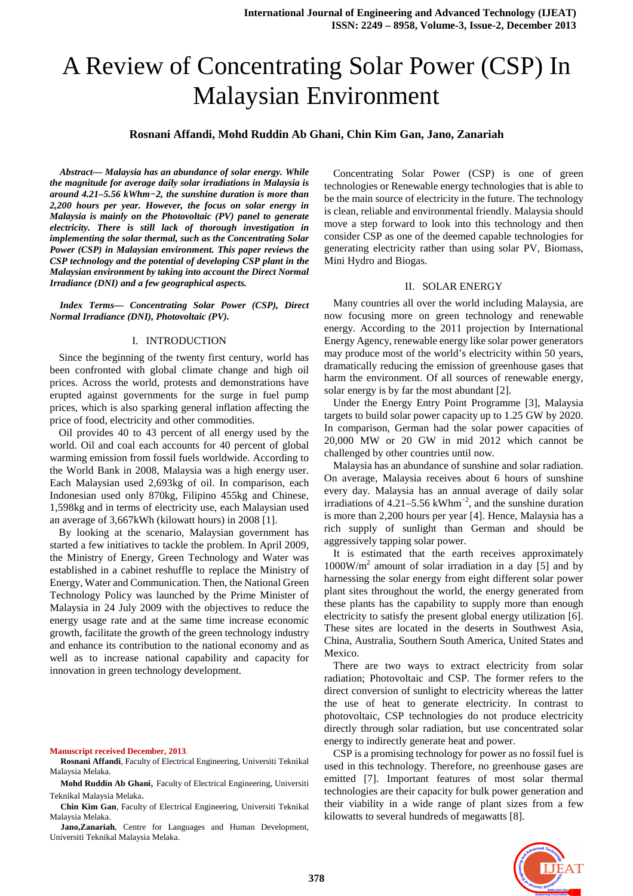# A Review of Concentrating Solar Power (CSP) In Malaysian Environment

# **Rosnani Affandi, Mohd Ruddin Ab Ghani, Chin Kim Gan, Jano, Zanariah**

*Abstract— Malaysia has an abundance of solar energy. While the magnitude for average daily solar irradiations in Malaysia is around 4.21–5.56 kWhm−2, the sunshine duration is more than 2,200 hours per year. However, the focus on solar energy in Malaysia is mainly on the Photovoltaic (PV) panel to generate electricity. There is still lack of thorough investigation in implementing the solar thermal, such as the Concentrating Solar Power (CSP) in Malaysian environment. This paper reviews the CSP technology and the potential of developing CSP plant in the Malaysian environment by taking into account the Direct Normal Irradiance (DNI) and a few geographical aspects.* 

*Index Terms— Concentrating Solar Power (CSP), Direct Normal Irradiance (DNI), Photovoltaic (PV).* 

#### I. INTRODUCTION

Since the beginning of the twenty first century, world has been confronted with global climate change and high oil prices. Across the world, protests and demonstrations have erupted against governments for the surge in fuel pump prices, which is also sparking general inflation affecting the price of food, electricity and other commodities.

Oil provides 40 to 43 percent of all energy used by the world. Oil and coal each accounts for 40 percent of global warming emission from fossil fuels worldwide. According to the World Bank in 2008, Malaysia was a high energy user. Each Malaysian used 2,693kg of oil. In comparison, each Indonesian used only 870kg, Filipino 455kg and Chinese, 1,598kg and in terms of electricity use, each Malaysian used an average of 3,667kWh (kilowatt hours) in 2008 [1].

By looking at the scenario, Malaysian government has started a few initiatives to tackle the problem. In April 2009, the Ministry of Energy, Green Technology and Water was established in a cabinet reshuffle to replace the Ministry of Energy, Water and Communication. Then, the National Green Technology Policy was launched by the Prime Minister of Malaysia in 24 July 2009 with the objectives to reduce the energy usage rate and at the same time increase economic growth, facilitate the growth of the green technology industry and enhance its contribution to the national economy and as well as to increase national capability and capacity for innovation in green technology development.

#### **Manuscript received December, 2013**.

**Jano,Zanariah**, Centre for Languages and Human Development, Universiti Teknikal Malaysia Melaka.

Concentrating Solar Power (CSP) is one of green technologies or Renewable energy technologies that is able to be the main source of electricity in the future. The technology is clean, reliable and environmental friendly. Malaysia should move a step forward to look into this technology and then consider CSP as one of the deemed capable technologies for generating electricity rather than using solar PV, Biomass, Mini Hydro and Biogas.

#### II. SOLAR ENERGY

Many countries all over the world including Malaysia, are now focusing more on green technology and renewable energy. According to the 2011 projection by International Energy Agency, renewable energy like solar power generators may produce most of the world's electricity within 50 years, dramatically reducing the emission of greenhouse gases that harm the environment. Of all sources of renewable energy, solar energy is by far the most abundant [2].

Under the Energy Entry Point Programme [3], Malaysia targets to build solar power capacity up to 1.25 GW by 2020. In comparison, German had the solar power capacities of 20,000 MW or 20 GW in mid 2012 which cannot be challenged by other countries until now.

Malaysia has an abundance of sunshine and solar radiation. On average, Malaysia receives about 6 hours of sunshine every day. Malaysia has an annual average of daily solar irradiations of 4.21–5.56 kWhm<sup>-2</sup>, and the sunshine duration is more than 2,200 hours per year [4]. Hence, Malaysia has a rich supply of sunlight than German and should be aggressively tapping solar power.

It is estimated that the earth receives approximately 1000W/m<sup>2</sup> amount of solar irradiation in a day [5] and by harnessing the solar energy from eight different solar power plant sites throughout the world, the energy generated from these plants has the capability to supply more than enough electricity to satisfy the present global energy utilization [6]. These sites are located in the deserts in Southwest Asia, China, Australia, Southern South America, United States and Mexico.

There are two ways to extract electricity from solar radiation; Photovoltaic and CSP. The former refers to the direct conversion of sunlight to electricity whereas the latter the use of heat to generate electricity. In contrast to photovoltaic, CSP technologies do not produce electricity directly through solar radiation, but use concentrated solar energy to indirectly generate heat and power.

CSP is a promising technology for power as no fossil fuel is used in this technology. Therefore, no greenhouse gases are emitted [7]. Important features of most solar thermal technologies are their capacity for bulk power generation and their viability in a wide range of plant sizes from a few kilowatts to several hundreds of megawatts [8].



**Rosnani Affandi**, Faculty of Electrical Engineering, Universiti Teknikal Malaysia Melaka.

**Mohd Ruddin Ab Ghani**, Faculty of Electrical Engineering, Universiti Teknikal Malaysia Melaka.

**Chin Kim Gan**, Faculty of Electrical Engineering, Universiti Teknikal Malaysia Melaka.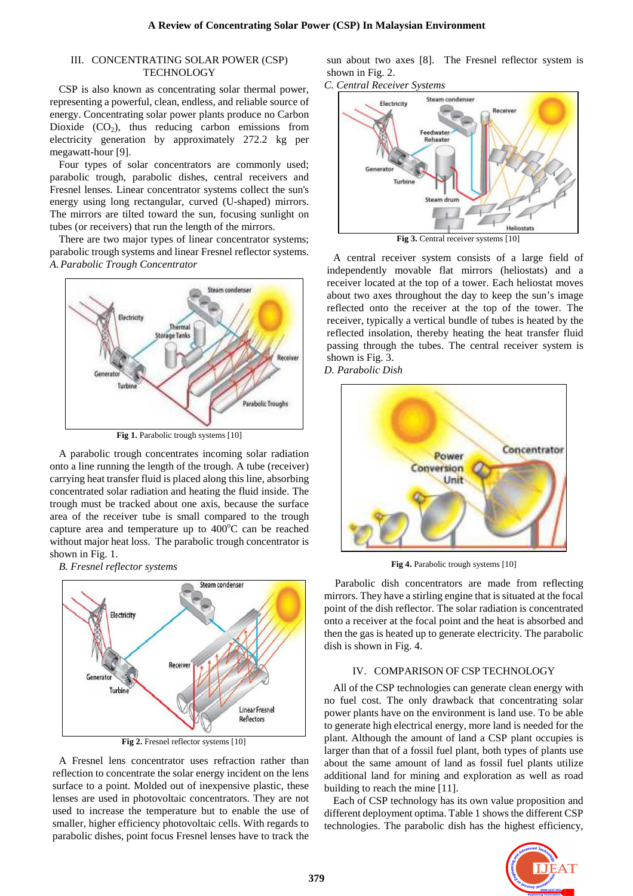#### III. CONCENTRATING SOLAR POWER (CSP) TECHNOLOGY

CSP is also known as concentrating solar thermal power, representing a powerful, clean, endless, and reliable source of energy. Concentrating solar power plants produce no Carbon Dioxide  $(CO<sub>2</sub>)$ , thus reducing carbon emissions from electricity generation by approximately 272.2 kg per megawatt-hour [9].

Four types of solar concentrators are commonly used; parabolic trough, parabolic dishes, central receivers and Fresnel lenses. Linear concentrator systems collect the sun's energy using long rectangular, curved (U-shaped) mirrors. The mirrors are tilted toward the sun, focusing sunlight on tubes (or receivers) that run the length of the mirrors.

There are two major types of linear concentrator systems; parabolic trough systems and linear Fresnel reflector systems. *A. Parabolic Trough Concentrator* 



**Fig 1.** Parabolic trough systems [10]

A parabolic trough concentrates incoming solar radiation onto a line running the length of the trough. A tube (receiver) carrying heat transfer fluid is placed along this line, absorbing concentrated solar radiation and heating the fluid inside. The trough must be tracked about one axis, because the surface area of the receiver tube is small compared to the trough capture area and temperature up to  $400^{\circ}$ C can be reached without major heat loss. The parabolic trough concentrator is shown in Fig. 1.

*B. Fresnel reflector systems* 



**Fig 2.** Fresnel reflector systems [10]

A Fresnel lens concentrator uses refraction rather than reflection to concentrate the solar energy incident on the lens surface to a point. Molded out of inexpensive plastic, these lenses are used in photovoltaic concentrators. They are not used to increase the temperature but to enable the use of smaller, higher efficiency photovoltaic cells. With regards to parabolic dishes, point focus Fresnel lenses have to track the sun about two axes [8]. The Fresnel reflector system is shown in Fig. 2.





A central receiver system consists of a large field of independently movable flat mirrors (heliostats) and a receiver located at the top of a tower. Each heliostat moves about two axes throughout the day to keep the sun's image reflected onto the receiver at the top of the tower. The receiver, typically a vertical bundle of tubes is heated by the reflected insolation, thereby heating the heat transfer fluid passing through the tubes. The central receiver system is shown is Fig. 3.

*D. Parabolic Dish* 



**Fig 4.** Parabolic trough systems [10]

Parabolic dish concentrators are made from reflecting mirrors. They have a stirling engine that is situated at the focal point of the dish reflector. The solar radiation is concentrated onto a receiver at the focal point and the heat is absorbed and then the gas is heated up to generate electricity. The parabolic dish is shown in Fig. 4.

#### IV. COMPARISON OF CSP TECHNOLOGY

All of the CSP technologies can generate clean energy with no fuel cost. The only drawback that concentrating solar power plants have on the environment is land use. To be able to generate high electrical energy, more land is needed for the plant. Although the amount of land a CSP plant occupies is larger than that of a fossil fuel plant, both types of plants use about the same amount of land as fossil fuel plants utilize additional land for mining and exploration as well as road building to reach the mine [11].

Each of CSP technology has its own value proposition and different deployment optima. Table 1 shows the different CSP technologies. The parabolic dish has the highest efficiency,

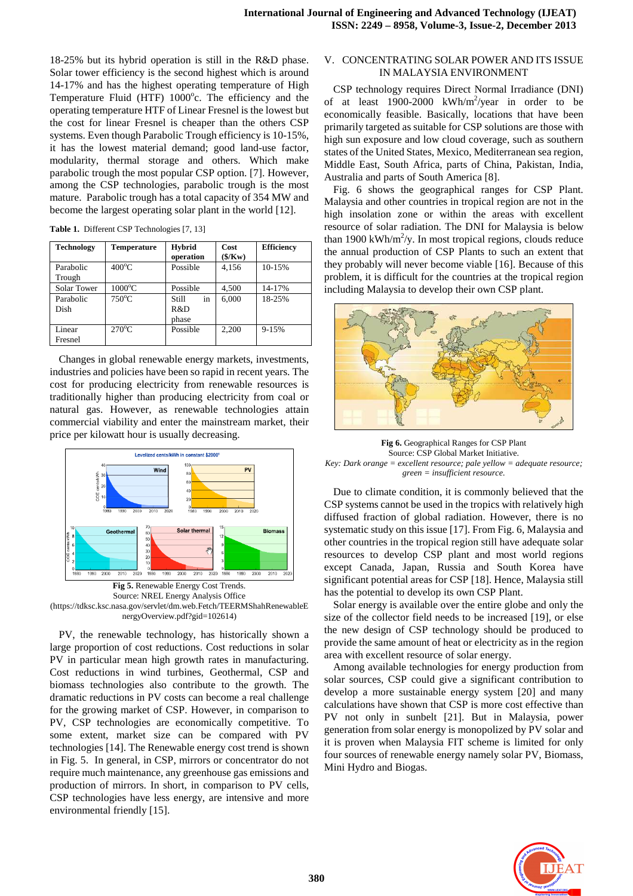18-25% but its hybrid operation is still in the R&D phase. Solar tower efficiency is the second highest which is around 14-17% and has the highest operating temperature of High Temperature Fluid (HTF)  $1000^\circ$ c. The efficiency and the operating temperature HTF of Linear Fresnel is the lowest but the cost for linear Fresnel is cheaper than the others CSP systems. Even though Parabolic Trough efficiency is 10-15%, it has the lowest material demand; good land-use factor, modularity, thermal storage and others. Which make parabolic trough the most popular CSP option. [7]. However, among the CSP technologies, parabolic trough is the most mature. Parabolic trough has a total capacity of 354 MW and become the largest operating solar plant in the world [12].

| <b>Table 1.</b> Different CSP Technologies [7, 13] |  |  |  |  |  |
|----------------------------------------------------|--|--|--|--|--|
|----------------------------------------------------|--|--|--|--|--|

| Technology          | Temperature      | <b>Hybrid</b><br>operation         | Cost<br>$(\frac{2}{\kappa})$ | <b>Efficiency</b> |
|---------------------|------------------|------------------------------------|------------------------------|-------------------|
| Parabolic<br>Trough | $400^{\circ}$ C  | Possible                           | 4,156                        | $10 - 15%$        |
| <b>Solar Tower</b>  | $1000^{\circ}$ C | Possible                           | 4,500                        | 14-17%            |
| Parabolic<br>Dish   | $750^{\circ}$ C  | in<br><b>Still</b><br>R&D<br>phase | 6,000                        | 18-25%            |
| Linear<br>Fresnel   | $270^{\circ}$ C  | Possible                           | 2.200                        | $9 - 15%$         |

Changes in global renewable energy markets, investments, industries and policies have been so rapid in recent years. The cost for producing electricity from renewable resources is traditionally higher than producing electricity from coal or natural gas. However, as renewable technologies attain commercial viability and enter the mainstream market, their price per kilowatt hour is usually decreasing.



**Fig 5.** Renewable Energy Cost Trends. Source: NREL Energy Analysis Office (https://tdksc.ksc.nasa.gov/servlet/dm.web.Fetch/TEERMShahRenewableE nergyOverview.pdf?gid=102614)

PV, the renewable technology, has historically shown a large proportion of cost reductions. Cost reductions in solar PV in particular mean high growth rates in manufacturing. Cost reductions in wind turbines, Geothermal, CSP and biomass technologies also contribute to the growth. The dramatic reductions in PV costs can become a real challenge for the growing market of CSP. However, in comparison to PV, CSP technologies are economically competitive. To some extent, market size can be compared with PV technologies [14]. The Renewable energy cost trend is shown in Fig. 5. In general, in CSP, mirrors or concentrator do not require much maintenance, any greenhouse gas emissions and production of mirrors. In short, in comparison to PV cells, CSP technologies have less energy, are intensive and more environmental friendly [15].

### V. CONCENTRATING SOLAR POWER AND ITS ISSUE IN MALAYSIA ENVIRONMENT

CSP technology requires Direct Normal Irradiance (DNI) of at least  $1900-2000$  kWh/m<sup>2</sup>/year in order to be economically feasible. Basically, locations that have been primarily targeted as suitable for CSP solutions are those with high sun exposure and low cloud coverage, such as southern states of the United States, Mexico, Mediterranean sea region, Middle East, South Africa, parts of China, Pakistan, India, Australia and parts of South America [8].

Fig. 6 shows the geographical ranges for CSP Plant. Malaysia and other countries in tropical region are not in the high insolation zone or within the areas with excellent resource of solar radiation. The DNI for Malaysia is below than  $1900 \text{ kWh/m}^2$ /y. In most tropical regions, clouds reduce the annual production of CSP Plants to such an extent that they probably will never become viable [16]. Because of this problem, it is difficult for the countries at the tropical region including Malaysia to develop their own CSP plant.



**Fig 6.** Geographical Ranges for CSP Plant Source: CSP Global Market Initiative. *Key: Dark orange = excellent resource; pale yellow = adequate resource; green = insufficient resource.*

Due to climate condition, it is commonly believed that the CSP systems cannot be used in the tropics with relatively high diffused fraction of global radiation. However, there is no systematic study on this issue [17]. From Fig. 6, Malaysia and other countries in the tropical region still have adequate solar resources to develop CSP plant and most world regions except Canada, Japan, Russia and South Korea have significant potential areas for CSP [18]. Hence, Malaysia still has the potential to develop its own CSP Plant.

Solar energy is available over the entire globe and only the size of the collector field needs to be increased [19], or else the new design of CSP technology should be produced to provide the same amount of heat or electricity as in the region area with excellent resource of solar energy.

Among available technologies for energy production from solar sources, CSP could give a significant contribution to develop a more sustainable energy system [20] and many calculations have shown that CSP is more cost effective than PV not only in sunbelt [21]. But in Malaysia, power generation from solar energy is monopolized by PV solar and it is proven when Malaysia FIT scheme is limited for only four sources of renewable energy namely solar PV, Biomass, Mini Hydro and Biogas.

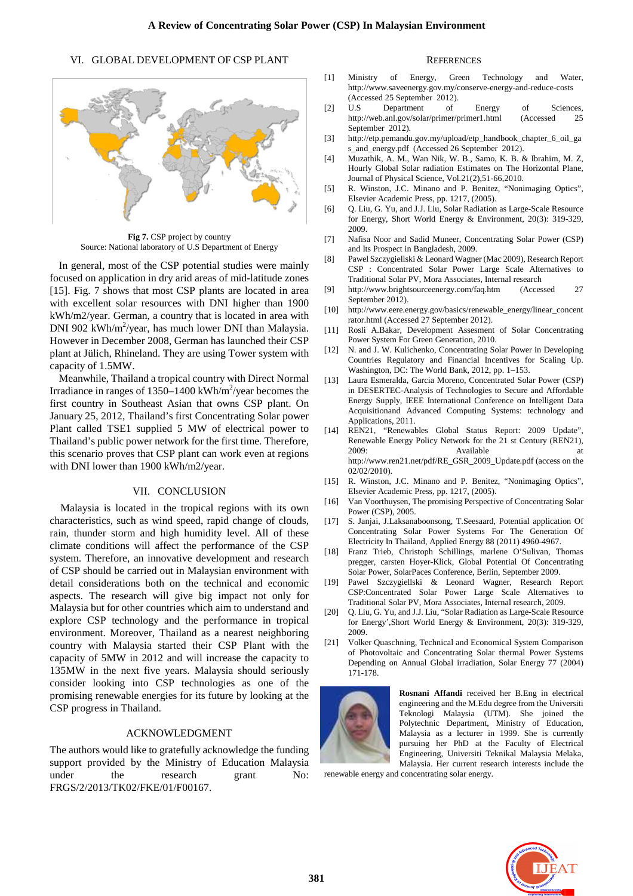# VI. GLOBAL DEVELOPMENT OF CSP PLANT



**Fig 7.** CSP project by country Source: National laboratory of U.S Department of Energy

In general, most of the CSP potential studies were mainly focused on application in dry arid areas of mid-latitude zones [15]. Fig. 7 shows that most CSP plants are located in area with excellent solar resources with DNI higher than 1900 kWh/m2/year. German, a country that is located in area with DNI 902 kWh/ $m^2$ /year, has much lower DNI than Malaysia. However in December 2008, German has launched their CSP plant at Jülich, Rhineland. They are using Tower system with capacity of 1.5MW.

Meanwhile, Thailand a tropical country with Direct Normal Irradiance in ranges of  $1350 - 1400$  kWh/m<sup>2</sup>/year becomes the first country in Southeast Asian that owns CSP plant. On January 25, 2012, Thailand's first Concentrating Solar power Plant called TSE1 supplied 5 MW of electrical power to Thailand's public power network for the first time. Therefore, this scenario proves that CSP plant can work even at regions with DNI lower than 1900 kWh/m2/year.

### VII. CONCLUSION

Malaysia is located in the tropical regions with its own characteristics, such as wind speed, rapid change of clouds, rain, thunder storm and high humidity level. All of these climate conditions will affect the performance of the CSP system. Therefore, an innovative development and research of CSP should be carried out in Malaysian environment with detail considerations both on the technical and economic aspects. The research will give big impact not only for Malaysia but for other countries which aim to understand and explore CSP technology and the performance in tropical environment. Moreover, Thailand as a nearest neighboring country with Malaysia started their CSP Plant with the capacity of 5MW in 2012 and will increase the capacity to 135MW in the next five years. Malaysia should seriously consider looking into CSP technologies as one of the promising renewable energies for its future by looking at the CSP progress in Thailand.

# ACKNOWLEDGMENT

The authors would like to gratefully acknowledge the funding support provided by the Ministry of Education Malaysia under the research grant No: FRGS/2/2013/TK02/FKE/01/F00167.

#### **REFERENCES**

- [1] Ministry of Energy, Green Technology and Water, http://www.saveenergy.gov.my/conserve-energy-and-reduce-costs (Accessed 25 September 2012).
- [2] U.S. Department of Energy of Sciences, http://web.anl.gov/solar/primer/primer1.html (Accessed 25 September 2012).
- [3] http://etp.pemandu.gov.my/upload/etp\_handbook\_chapter\_6\_oil\_ga s\_and\_energy.pdf (Accessed 26 September 2012).
- [4] Muzathik, A. M., Wan Nik, W. B., Samo, K. B. & Ibrahim, M. Z, Hourly Global Solar radiation Estimates on The Horizontal Plane, Journal of Physical Science, Vol.21(2),51-66,2010.
- [5] R. Winston, J.C. Minano and P. Benitez, "Nonimaging Optics", Elsevier Academic Press, pp. 1217, (2005).
- [6] Q. Liu, G. Yu, and J.J. Liu, Solar Radiation as Large-Scale Resource for Energy, Short World Energy & Environment, 20(3): 319-329, 2009.
- [7] Nafisa Noor and Sadid Muneer, Concentrating Solar Power (CSP) and Its Prospect in Bangladesh, 2009.
- [8] Pawel Szczygiellski & Leonard Wagner (Mac 2009), Research Report CSP : Concentrated Solar Power Large Scale Alternatives to Traditional Solar PV, Mora Associates, Internal research
- [9] http://www.brightsourceenergy.com/faq.htm (Accessed 27 September 2012).
- [10] http://www.eere.energy.gov/basics/renewable\_energy/linear\_concent rator.html (Accessed 27 September 2012).
- [11] Rosli A.Bakar, Development Assesment of Solar Concentrating Power System For Green Generation, 2010.
- [12] N. and J. W. Kulichenko, Concentrating Solar Power in Developing Countries Regulatory and Financial Incentives for Scaling Up. Washington, DC: The World Bank, 2012, pp. 1–153.
- [13] Laura Esmeralda, Garcia Moreno, Concentrated Solar Power (CSP) in DESERTEC-Analysis of Technologies to Secure and Affordable Energy Supply, IEEE International Conference on Intelligent Data Acquisitionand Advanced Computing Systems: technology and Applications, 2011.
- [14] REN21, "Renewables Global Status Report: 2009 Update", Renewable Energy Policy Network for the 21 st Century (REN21), 2009: Available at http://www.ren21.net/pdf/RE\_GSR\_2009\_Update.pdf (access on the 02/02/2010).
- [15] R. Winston, J.C. Minano and P. Benitez, "Nonimaging Optics", Elsevier Academic Press, pp. 1217, (2005).
- [16] Van Voorthuysen, The promising Perspective of Concentrating Solar Power (CSP), 2005.
- [17] S. Janjai, J.Laksanaboonsong, T.Seesaard, Potential application Of Concentrating Solar Power Systems For The Generation Of Electricity In Thailand, Applied Energy 88 (2011) 4960-4967.
- [18] Franz Trieb, Christoph Schillings, marlene O'Sulivan, Thomas pregger, carsten Hoyer-Klick, Global Potential Of Concentrating Solar Power, SolarPaces Conference, Berlin, September 2009.
- [19] Pawel Szczygiellski & Leonard Wagner, Research Report CSP:Concentrated Solar Power Large Scale Alternatives to Traditional Solar PV, Mora Associates, Internal research, 2009.
- [20] Q. Liu, G. Yu, and J.J. Liu, "Solar Radiation as Large-Scale Resource for Energy',Short World Energy & Environment, 20(3): 319-329, 2009.
- [21] Volker Quaschning, Technical and Economical System Comparison of Photovoltaic and Concentrating Solar thermal Power Systems Depending on Annual Global irradiation, Solar Energy 77 (2004) 171-178.



**Rosnani Affandi** received her B.Eng in electrical engineering and the M.Edu degree from the Universiti Teknologi Malaysia (UTM). She joined the Polytechnic Department, Ministry of Education, Malaysia as a lecturer in 1999. She is currently pursuing her PhD at the Faculty of Electrical Engineering, Universiti Teknikal Malaysia Melaka, Malaysia. Her current research interests include the

renewable energy and concentrating solar energy.